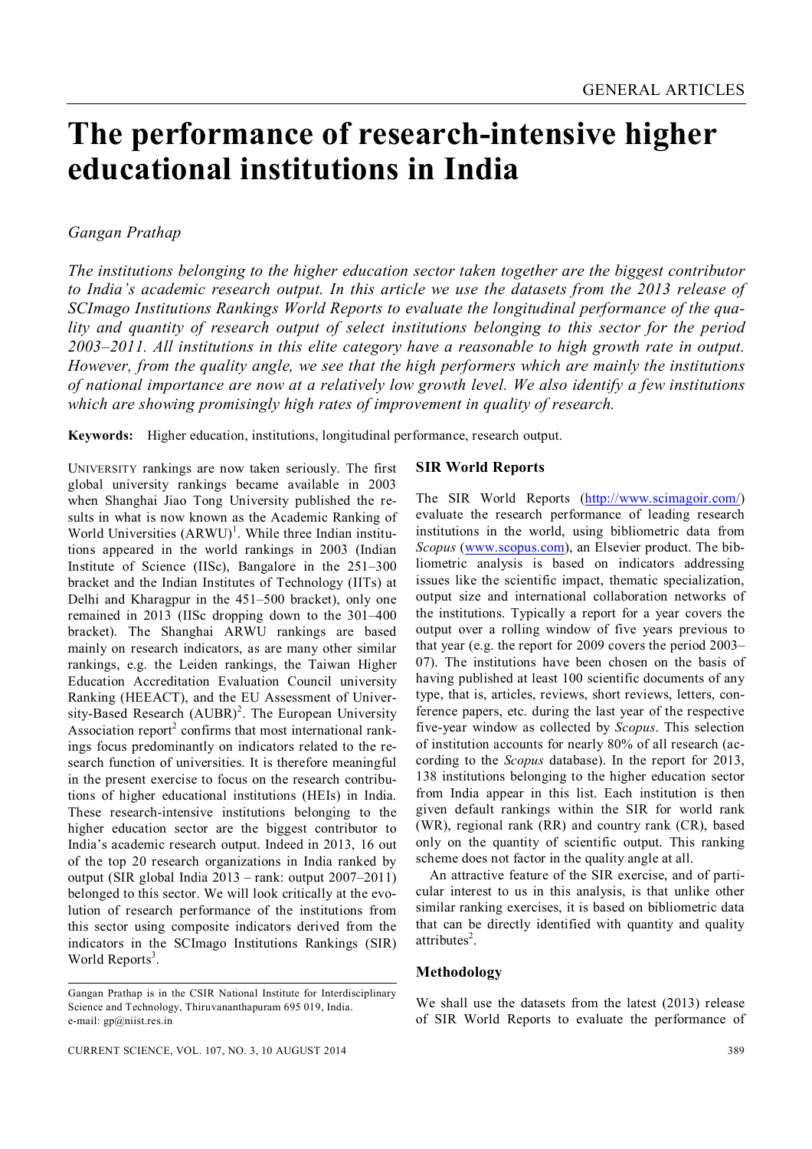# **The performance of research-intensive higher educational institutions in India**

# *Gangan Prathap*

*The institutions belonging to the higher education sector taken together are the biggest contributor to India's academic research output. In this article we use the datasets from the 2013 release of SCImago Institutions Rankings World Reports to evaluate the longitudinal performance of the quality and quantity of research output of select institutions belonging to this sector for the period 2003–2011. All institutions in this elite category have a reasonable to high growth rate in output. However, from the quality angle, we see that the high performers which are mainly the institutions of national importance are now at a relatively low growth level. We also identify a few institutions which are showing promisingly high rates of improvement in quality of research.*

**Keywords:** Higher education, institutions, longitudinal performance, research output.

UNIVERSITY rankings are now taken seriously. The first global university rankings became available in 2003 when Shanghai Jiao Tong University published the results in what is now known as the Academic Ranking of World Universities  $(ARWU)^1$ . While three Indian institutions appeared in the world rankings in 2003 (Indian Institute of Science (IISc), Bangalore in the 251–300 bracket and the Indian Institutes of Technology (IITs) at Delhi and Kharagpur in the 451–500 bracket), only one remained in 2013 (IISc dropping down to the 301–400 bracket). The Shanghai ARWU rankings are based mainly on research indicators, as are many other similar rankings, e.g. the Leiden rankings, the Taiwan Higher Education Accreditation Evaluation Council university Ranking (HEEACT), and the EU Assessment of University-Based Research  $(AUBR)^2$ . The European University Association report<sup>2</sup> confirms that most international rankings focus predominantly on indicators related to the research function of universities. It is therefore meaningful in the present exercise to focus on the research contributions of higher educational institutions (HEIs) in India. These research-intensive institutions belonging to the higher education sector are the biggest contributor to India's academic research output. Indeed in 2013, 16 out of the top 20 research organizations in India ranked by output (SIR global India 2013 – rank: output 2007–2011) belonged to this sector. We will look critically at the evolution of research performance of the institutions from this sector using composite indicators derived from the indicators in the SCImago Institutions Rankings (SIR) World Reports<sup>3</sup>.

### **SIR World Reports**

The SIR World Reports (http://www.scimagoir.com/) evaluate the research performance of leading research institutions in the world, using bibliometric data from *Scopus* (www.scopus.com), an Elsevier product. The bibliometric analysis is based on indicators addressing issues like the scientific impact, thematic specialization, output size and international collaboration networks of the institutions. Typically a report for a year covers the output over a rolling window of five years previous to that year (e.g. the report for 2009 covers the period 2003– 07). The institutions have been chosen on the basis of having published at least 100 scientific documents of any type, that is, articles, reviews, short reviews, letters, conference papers, etc. during the last year of the respective five-year window as collected by *Scopus*. This selection of institution accounts for nearly 80% of all research (according to the *Scopus* database). In the report for 2013, 138 institutions belonging to the higher education sector from India appear in this list. Each institution is then given default rankings within the SIR for world rank (WR), regional rank (RR) and country rank (CR), based only on the quantity of scientific output. This ranking scheme does not factor in the quality angle at all.

An attractive feature of the SIR exercise, and of particular interest to us in this analysis, is that unlike other similar ranking exercises, it is based on bibliometric data that can be directly identified with quantity and quality attributes<sup>2</sup>.

## **Methodology**

We shall use the datasets from the latest (2013) release of SIR World Reports to evaluate the performance of

Gangan Prathap is in the CSIR National Institute for Interdisciplinary Science and Technology, Thiruvananthapuram 695 019, India. e-mail: gp@niist.res.in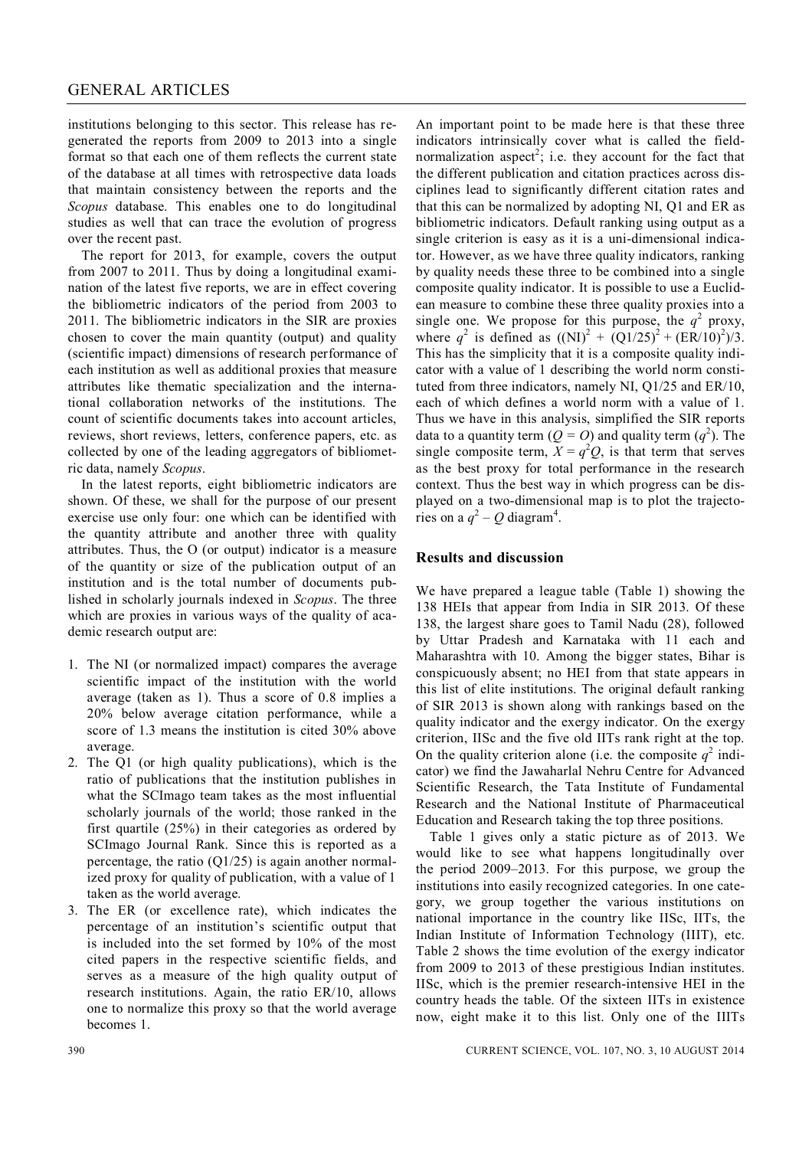institutions belonging to this sector. This release has regenerated the reports from 2009 to 2013 into a single format so that each one of them reflects the current state of the database at all times with retrospective data loads that maintain consistency between the reports and the *Scopus* database. This enables one to do longitudinal studies as well that can trace the evolution of progress over the recent past.

The report for 2013, for example, covers the output from 2007 to 2011. Thus by doing a longitudinal examination of the latest five reports, we are in effect covering the bibliometric indicators of the period from 2003 to 2011. The bibliometric indicators in the SIR are proxies chosen to cover the main quantity (output) and quality (scientific impact) dimensions of research performance of each institution as well as additional proxies that measure attributes like thematic specialization and the international collaboration networks of the institutions. The count of scientific documents takes into account articles, reviews, short reviews, letters, conference papers, etc. as collected by one of the leading aggregators of bibliometric data, namely *Scopus*.

In the latest reports, eight bibliometric indicators are shown. Of these, we shall for the purpose of our present exercise use only four: one which can be identified with the quantity attribute and another three with quality attributes. Thus, the O (or output) indicator is a measure of the quantity or size of the publication output of an institution and is the total number of documents published in scholarly journals indexed in *Scopus*. The three which are proxies in various ways of the quality of academic research output are:

- 1. The NI (or normalized impact) compares the average scientific impact of the institution with the world average (taken as 1). Thus a score of 0.8 implies a 20% below average citation performance, while a score of 1.3 means the institution is cited 30% above average.
- 2. The Q1 (or high quality publications), which is the ratio of publications that the institution publishes in what the SCImago team takes as the most influential scholarly journals of the world; those ranked in the first quartile (25%) in their categories as ordered by SCImago Journal Rank. Since this is reported as a percentage, the ratio  $(Q1/25)$  is again another normalized proxy for quality of publication, with a value of 1 taken as the world average.
- 3. The ER (or excellence rate), which indicates the percentage of an institution's scientific output that is included into the set formed by 10% of the most cited papers in the respective scientific fields, and serves as a measure of the high quality output of research institutions. Again, the ratio ER/10, allows one to normalize this proxy so that the world average becomes 1.

An important point to be made here is that these three indicators intrinsically cover what is called the fieldnormalization aspect<sup>2</sup>; i.e. they account for the fact that the different publication and citation practices across disciplines lead to significantly different citation rates and that this can be normalized by adopting NI, Q1 and ER as bibliometric indicators. Default ranking using output as a single criterion is easy as it is a uni-dimensional indicator. However, as we have three quality indicators, ranking by quality needs these three to be combined into a single composite quality indicator. It is possible to use a Euclidean measure to combine these three quality proxies into a single one. We propose for this purpose, the  $q^2$  proxy, where  $q^2$  is defined as  $((\text{NI})^2 + (\text{Q1}/25)^2 + (\text{ER}/10)^2)/3$ . This has the simplicity that it is a composite quality indicator with a value of 1 describing the world norm constituted from three indicators, namely NI, Q1/25 and ER/10, each of which defines a world norm with a value of 1. Thus we have in this analysis, simplified the SIR reports data to a quantity term  $(Q = O)$  and quality term  $(q^2)$ . The single composite term,  $X = q^2 Q$ , is that term that serves as the best proxy for total performance in the research context. Thus the best way in which progress can be displayed on a two-dimensional map is to plot the trajectories on a  $q^2 - Q$  diagram<sup>4</sup>.

### **Results and discussion**

We have prepared a league table (Table 1) showing the 138 HEIs that appear from India in SIR 2013. Of these 138, the largest share goes to Tamil Nadu (28), followed by Uttar Pradesh and Karnataka with 11 each and Maharashtra with 10. Among the bigger states, Bihar is conspicuously absent; no HEI from that state appears in this list of elite institutions. The original default ranking of SIR 2013 is shown along with rankings based on the quality indicator and the exergy indicator. On the exergy criterion, IISc and the five old IITs rank right at the top. On the quality criterion alone (i.e. the composite  $q^2$  indicator) we find the Jawaharlal Nehru Centre for Advanced Scientific Research, the Tata Institute of Fundamental Research and the National Institute of Pharmaceutical Education and Research taking the top three positions.

Table 1 gives only a static picture as of 2013. We would like to see what happens longitudinally over the period 2009–2013. For this purpose, we group the institutions into easily recognized categories. In one category, we group together the various institutions on national importance in the country like IISc, IITs, the Indian Institute of Information Technology (IIIT), etc. Table 2 shows the time evolution of the exergy indicator from 2009 to 2013 of these prestigious Indian institutes. IISc, which is the premier research-intensive HEI in the country heads the table. Of the sixteen IITs in existence now, eight make it to this list. Only one of the IIITs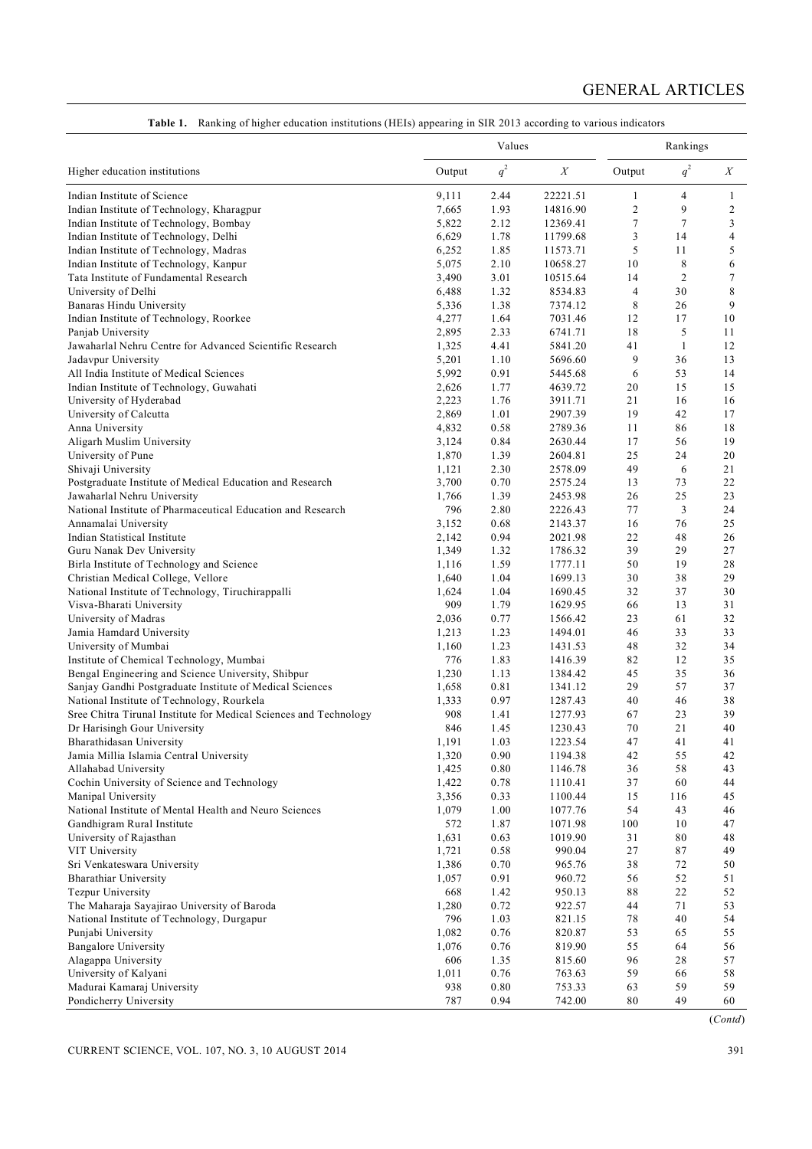|                                                                   | Values |       |                  | Rankings       |                |                  |  |
|-------------------------------------------------------------------|--------|-------|------------------|----------------|----------------|------------------|--|
| Higher education institutions                                     | Output | $q^2$ | $\boldsymbol{X}$ | Output         | $q^2$          | $\boldsymbol{X}$ |  |
| Indian Institute of Science                                       | 9,111  | 2.44  | 22221.51         | 1              | 4              | 1                |  |
| Indian Institute of Technology, Kharagpur                         | 7,665  | 1.93  | 14816.90         | $\overline{c}$ | 9              | $\boldsymbol{2}$ |  |
| Indian Institute of Technology, Bombay                            | 5,822  | 2.12  | 12369.41         | 7              | 7              | 3                |  |
| Indian Institute of Technology, Delhi                             | 6,629  | 1.78  | 11799.68         | 3              | 14             | 4                |  |
| Indian Institute of Technology, Madras                            | 6,252  | 1.85  | 11573.71         | 5              | 11             | 5                |  |
| Indian Institute of Technology, Kanpur                            | 5,075  | 2.10  | 10658.27         | 10             | 8              | 6                |  |
| Tata Institute of Fundamental Research                            | 3,490  | 3.01  | 10515.64         | 14             | $\overline{2}$ | 7                |  |
| University of Delhi                                               | 6,488  | 1.32  | 8534.83          | $\overline{4}$ | 30             | 8                |  |
| Banaras Hindu University                                          | 5,336  | 1.38  | 7374.12          | 8              | 26             | 9                |  |
| Indian Institute of Technology, Roorkee                           | 4,277  | 1.64  | 7031.46          | 12             | 17             | 10               |  |
| Panjab University                                                 | 2,895  | 2.33  | 6741.71          | 18             | 5              | 11               |  |
| Jawaharlal Nehru Centre for Advanced Scientific Research          | 1,325  | 4.41  | 5841.20          | 41             | 1              | 12               |  |
| Jadavpur University                                               | 5,201  | 1.10  | 5696.60          | 9              | 36             | 13               |  |
| All India Institute of Medical Sciences                           | 5,992  | 0.91  | 5445.68          | 6              | 53             | 14               |  |
| Indian Institute of Technology, Guwahati                          | 2,626  | 1.77  | 4639.72          | 20             | 15             | 15               |  |
| University of Hyderabad                                           | 2,223  | 1.76  | 3911.71          | 21             | 16             | 16               |  |
| University of Calcutta                                            | 2,869  | 1.01  | 2907.39          | 19             | 42             | 17               |  |
| Anna University                                                   | 4,832  | 0.58  | 2789.36          | 11             | 86             | 18               |  |
| Aligarh Muslim University                                         | 3,124  | 0.84  | 2630.44          | 17             | 56             | 19               |  |
| University of Pune                                                | 1,870  | 1.39  | 2604.81          | 25             | 24             | 20               |  |
| Shivaji University                                                | 1,121  | 2.30  | 2578.09          | 49             | 6              | 21               |  |
| Postgraduate Institute of Medical Education and Research          | 3,700  | 0.70  | 2575.24          | 13             | 73             | 22               |  |
| Jawaharlal Nehru University                                       | 1,766  | 1.39  | 2453.98          | 26             | 25             | 23               |  |
| National Institute of Pharmaceutical Education and Research       | 796    | 2.80  | 2226.43          | 77             | 3              | 24               |  |
| Annamalai University                                              | 3,152  | 0.68  | 2143.37          | 16             | 76             | 25               |  |
| Indian Statistical Institute                                      | 2,142  | 0.94  | 2021.98          | 22             | 48             | 26               |  |
| Guru Nanak Dev University                                         | 1,349  | 1.32  | 1786.32          | 39             | 29             | 27               |  |
| Birla Institute of Technology and Science                         | 1,116  | 1.59  | 1777.11          | 50             | 19             | 28               |  |
| Christian Medical College, Vellore                                | 1,640  | 1.04  | 1699.13          | 30             | 38             | 29               |  |
| National Institute of Technology, Tiruchirappalli                 | 1,624  | 1.04  | 1690.45          | 32             | 37             | 30               |  |
| Visva-Bharati University                                          | 909    | 1.79  | 1629.95          | 66             | 13             | 31               |  |
| University of Madras                                              | 2,036  | 0.77  | 1566.42          | 23             | 61             | 32               |  |
| Jamia Hamdard University                                          | 1,213  | 1.23  | 1494.01          | 46             | 33             | 33               |  |
| University of Mumbai                                              | 1,160  | 1.23  | 1431.53          | 48             | 32             | 34               |  |
| Institute of Chemical Technology, Mumbai                          | 776    | 1.83  | 1416.39          | 82             | 12             | 35               |  |
| Bengal Engineering and Science University, Shibpur                | 1,230  | 1.13  | 1384.42          | 45             | 35             | 36               |  |
| Sanjay Gandhi Postgraduate Institute of Medical Sciences          | 1,658  | 0.81  | 1341.12          | 29             | 57             | 37               |  |
| National Institute of Technology, Rourkela                        | 1,333  | 0.97  | 1287.43          | 40             | 46             | 38               |  |
| Sree Chitra Tirunal Institute for Medical Sciences and Technology | 908    | 1.41  | 1277.93          | 67             | 23             | 39               |  |
| Dr Harisingh Gour University                                      | 846    | 1.45  | 1230.43          | 70             | 21             | 40               |  |
| Bharathidasan University                                          | 1,191  | 1.03  | 1223.54          | 47             | 41             | 41               |  |
| Jamia Millia Islamia Central University                           | 1,320  | 0.90  | 1194.38          | 42             | 55             | 42               |  |
| Allahabad University                                              | 1,425  | 0.80  | 1146.78          | 36             | 58             | 43               |  |
| Cochin University of Science and Technology                       | 1,422  | 0.78  | 1110.41          | 37             | 60             | 44               |  |
| Manipal University                                                | 3,356  | 0.33  | 1100.44          | 15             | 116            | 45               |  |
| National Institute of Mental Health and Neuro Sciences            | 1,079  | 1.00  | 1077.76          | 54             | 43             | 46               |  |
| Gandhigram Rural Institute                                        | 572    | 1.87  | 1071.98          | 100            | 10             | 47               |  |
| University of Rajasthan                                           | 1,631  | 0.63  | 1019.90          | 31             | 80             | 48               |  |
| VIT University                                                    | 1,721  | 0.58  | 990.04           | 27             | 87             | 49               |  |
| Sri Venkateswara University                                       | 1,386  | 0.70  | 965.76           | $3\,8$         | 72             | 50               |  |
| <b>Bharathiar University</b>                                      | 1,057  | 0.91  | 960.72           | 56             | 52             | 51               |  |
| Tezpur University                                                 | 668    | 1.42  | 950.13           | 88             | 22             | 52               |  |
| The Maharaja Sayajirao University of Baroda                       | 1,280  | 0.72  | 922.57           | 44             | 71             | 53               |  |
| National Institute of Technology, Durgapur                        | 796    | 1.03  | 821.15           | 78             | 40             | 54               |  |
| Punjabi University                                                | 1,082  | 0.76  | 820.87           | 53             | 65             | 55               |  |
| <b>Bangalore University</b>                                       | 1,076  | 0.76  | 819.90           | 55             | 64             | 56               |  |
| Alagappa University                                               | 606    | 1.35  | 815.60           | 96             | 28             | 57               |  |
| University of Kalyani                                             | 1,011  | 0.76  | 763.63           | 59             | 66             | 58               |  |
| Madurai Kamaraj University                                        | 938    | 0.80  | 753.33           | 63             | 59             | 59               |  |
| Pondicherry University                                            | 787    | 0.94  | 742.00           | 80             | 49             | 60               |  |

**Table 1.** Ranking of higher education institutions (HEIs) appearing in SIR 2013 according to various indicators

(*Contd*)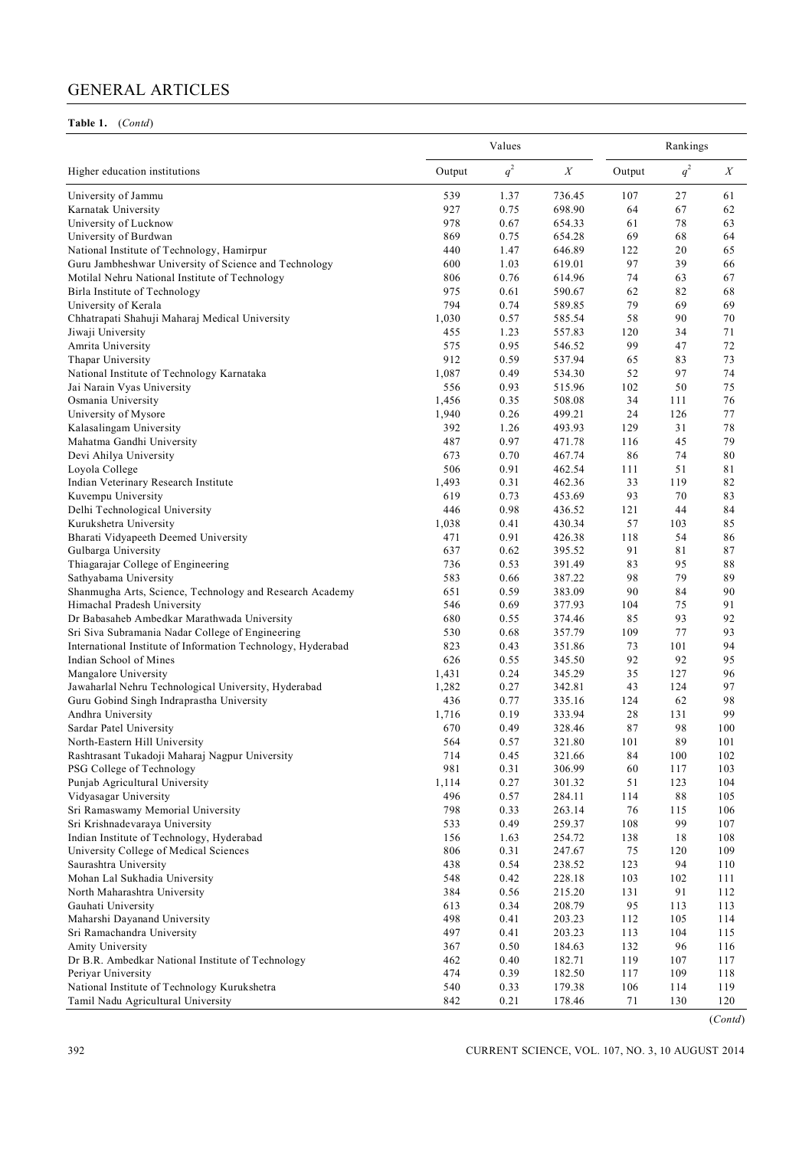## **Table 1.** (*Contd*)

|                                                              |        | Values |                  |        | Rankings |     |  |  |
|--------------------------------------------------------------|--------|--------|------------------|--------|----------|-----|--|--|
| Higher education institutions                                | Output | $q^2$  | $\boldsymbol{X}$ | Output | $q^2$    | X   |  |  |
| University of Jammu                                          | 539    | 1.37   | 736.45           | 107    | 27       | 61  |  |  |
| Karnatak University                                          | 927    | 0.75   | 698.90           | 64     | 67       | 62  |  |  |
| University of Lucknow                                        | 978    | 0.67   | 654.33           | 61     | 78       | 63  |  |  |
| University of Burdwan                                        | 869    | 0.75   | 654.28           | 69     | 68       | 64  |  |  |
| National Institute of Technology, Hamirpur                   | 440    | 1.47   | 646.89           | 122    | 20       | 65  |  |  |
| Guru Jambheshwar University of Science and Technology        | 600    | 1.03   | 619.01           | 97     | 39       | 66  |  |  |
| Motilal Nehru National Institute of Technology               | 806    | 0.76   | 614.96           | 74     | 63       | 67  |  |  |
| Birla Institute of Technology                                | 975    | 0.61   | 590.67           | 62     | 82       | 68  |  |  |
| University of Kerala                                         | 794    | 0.74   | 589.85           | 79     | 69       | 69  |  |  |
| Chhatrapati Shahuji Maharaj Medical University               | 1,030  | 0.57   | 585.54           | 58     | 90       | 70  |  |  |
| Jiwaji University                                            | 455    | 1.23   | 557.83           | 120    | 34       | 71  |  |  |
| Amrita University                                            | 575    | 0.95   | 546.52           | 99     | 47       | 72  |  |  |
| Thapar University                                            | 912    | 0.59   | 537.94           | 65     | 83       | 73  |  |  |
| National Institute of Technology Karnataka                   | 1,087  | 0.49   | 534.30           | 52     | 97       | 74  |  |  |
| Jai Narain Vyas University                                   | 556    | 0.93   | 515.96           | 102    | 50       | 75  |  |  |
| Osmania University                                           | 1,456  | 0.35   | 508.08           | 34     | 111      | 76  |  |  |
| University of Mysore                                         | 1,940  | 0.26   | 499.21           | 24     | 126      | 77  |  |  |
| Kalasalingam University                                      | 392    | 1.26   | 493.93           | 129    | 31       | 78  |  |  |
| Mahatma Gandhi University                                    | 487    | 0.97   | 471.78           | 116    | 45       | 79  |  |  |
| Devi Ahilya University                                       | 673    | 0.70   | 467.74           | 86     | 74       | 80  |  |  |
| Loyola College                                               | 506    | 0.91   | 462.54           | 111    | 51       | 81  |  |  |
| Indian Veterinary Research Institute                         | 1,493  | 0.31   | 462.36           | 33     | 119      | 82  |  |  |
| Kuvempu University                                           | 619    | 0.73   | 453.69           | 93     | 70       | 83  |  |  |
| Delhi Technological University                               | 446    | 0.98   | 436.52           | 121    | 44       | 84  |  |  |
| Kurukshetra University                                       | 1,038  | 0.41   | 430.34           | 57     | 103      | 85  |  |  |
| Bharati Vidyapeeth Deemed University                         | 471    | 0.91   | 426.38           | 118    | 54       | 86  |  |  |
| Gulbarga University                                          | 637    | 0.62   | 395.52           | 91     | 81       | 87  |  |  |
| Thiagarajar College of Engineering                           | 736    | 0.53   | 391.49           | 83     | 95       | 88  |  |  |
| Sathyabama University                                        | 583    | 0.66   | 387.22           | 98     | 79       | 89  |  |  |
| Shanmugha Arts, Science, Technology and Research Academy     | 651    | 0.59   | 383.09           | 90     | 84       | 90  |  |  |
| Himachal Pradesh University                                  | 546    | 0.69   | 377.93           | 104    | 75       | 91  |  |  |
| Dr Babasaheb Ambedkar Marathwada University                  | 680    | 0.55   | 374.46           | 85     | 93       | 92  |  |  |
| Sri Siva Subramania Nadar College of Engineering             | 530    | 0.68   | 357.79           | 109    | 77       | 93  |  |  |
| International Institute of Information Technology, Hyderabad | 823    | 0.43   | 351.86           | 73     | 101      | 94  |  |  |
| Indian School of Mines                                       | 626    | 0.55   | 345.50           | 92     | 92       | 95  |  |  |
| Mangalore University                                         | 1,431  | 0.24   | 345.29           | 35     | 127      | 96  |  |  |
| Jawaharlal Nehru Technological University, Hyderabad         | 1,282  | 0.27   | 342.81           | 43     | 124      | 97  |  |  |
| Guru Gobind Singh Indraprastha University                    | 436    | 0.77   | 335.16           | 124    | 62       | 98  |  |  |
| Andhra University                                            | 1,716  | 0.19   | 333.94           | 28     | 131      | 99  |  |  |
| Sardar Patel University                                      | 670    | 0.49   | 328.46           | 87     | 98       | 100 |  |  |
| North-Eastern Hill University                                | 564    | 0.57   | 321.80           | 101    | 89       | 101 |  |  |
| Rashtrasant Tukadoji Maharaj Nagpur University               | 714    | 0.45   | 321.66           | 84     | 100      | 102 |  |  |
| PSG College of Technology                                    | 981    | 0.31   | 306.99           | 60     | 117      | 103 |  |  |
| Punjab Agricultural University                               | 1,114  | 0.27   | 301.32           | 51     | 123      | 104 |  |  |
| Vidyasagar University                                        | 496    | 0.57   | 284.11           | 114    | 88       | 105 |  |  |
| Sri Ramaswamy Memorial University                            | 798    | 0.33   | 263.14           | 76     | 115      | 106 |  |  |
| Sri Krishnadevaraya University                               | 533    | 0.49   | 259.37           | 108    | 99       | 107 |  |  |
| Indian Institute of Technology, Hyderabad                    | 156    | 1.63   | 254.72           | 138    | 18       | 108 |  |  |
| University College of Medical Sciences                       | 806    | 0.31   | 247.67           | 75     | 120      | 109 |  |  |
| Saurashtra University                                        | 438    | 0.54   | 238.52           | 123    | 94       | 110 |  |  |
| Mohan Lal Sukhadia University                                | 548    | 0.42   | 228.18           | 103    | 102      | 111 |  |  |
| North Maharashtra University                                 | 384    | 0.56   | 215.20           | 131    | 91       | 112 |  |  |
| Gauhati University                                           | 613    | 0.34   | 208.79           | 95     | 113      | 113 |  |  |
| Maharshi Dayanand University                                 | 498    | 0.41   | 203.23           | 112    | 105      | 114 |  |  |
| Sri Ramachandra University                                   | 497    | 0.41   | 203.23           | 113    | 104      | 115 |  |  |
| Amity University                                             | 367    | 0.50   | 184.63           | 132    | 96       | 116 |  |  |
| Dr B.R. Ambedkar National Institute of Technology            | 462    | 0.40   | 182.71           | 119    | 107      | 117 |  |  |
| Periyar University                                           | 474    | 0.39   | 182.50           | 117    | 109      | 118 |  |  |
| National Institute of Technology Kurukshetra                 | 540    | 0.33   | 179.38           | 106    | 114      | 119 |  |  |
| Tamil Nadu Agricultural University                           | 842    | 0.21   | 178.46           | 71     | 130      | 120 |  |  |

(*Contd*)

392 CURRENT SCIENCE, VOL. 107, NO. 3, 10 AUGUST 2014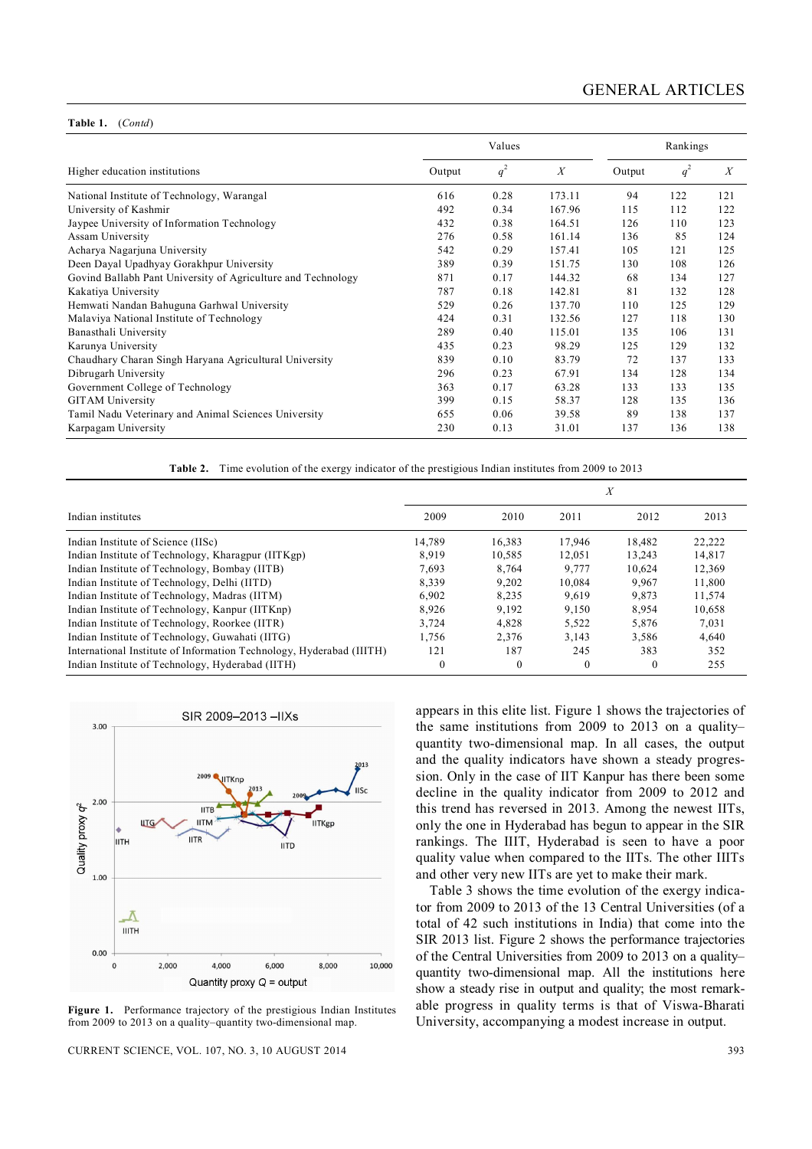#### **Table 1.** (*Contd*)

|                                                              |        | Rankings |        |        |       |                  |
|--------------------------------------------------------------|--------|----------|--------|--------|-------|------------------|
| Higher education institutions                                | Output | $q^2$    | X      | Output | $q^2$ | $\boldsymbol{X}$ |
| National Institute of Technology, Warangal                   | 616    | 0.28     | 173.11 | 94     | 122   | 121              |
| University of Kashmir                                        | 492    | 0.34     | 167.96 | 115    | 112   | 122              |
| Jaypee University of Information Technology                  | 432    | 0.38     | 164.51 | 126    | 110   | 123              |
| Assam University                                             | 276    | 0.58     | 161.14 | 136    | 85    | 124              |
| Acharya Nagarjuna University                                 | 542    | 0.29     | 157.41 | 105    | 121   | 125              |
| Deen Dayal Upadhyay Gorakhpur University                     | 389    | 0.39     | 151.75 | 130    | 108   | 126              |
| Govind Ballabh Pant University of Agriculture and Technology | 871    | 0.17     | 144.32 | 68     | 134   | 127              |
| Kakatiya University                                          | 787    | 0.18     | 142.81 | 81     | 132   | 128              |
| Hemwati Nandan Bahuguna Garhwal University                   | 529    | 0.26     | 137.70 | 110    | 125   | 129              |
| Malaviya National Institute of Technology                    | 424    | 0.31     | 132.56 | 127    | 118   | 130              |
| Banasthali University                                        | 289    | 0.40     | 115.01 | 135    | 106   | 131              |
| Karunya University                                           | 435    | 0.23     | 98.29  | 125    | 129   | 132              |
| Chaudhary Charan Singh Haryana Agricultural University       | 839    | 0.10     | 83.79  | 72     | 137   | 133              |
| Dibrugarh University                                         | 296    | 0.23     | 67.91  | 134    | 128   | 134              |
| Government College of Technology                             | 363    | 0.17     | 63.28  | 133    | 133   | 135              |
| <b>GITAM University</b>                                      | 399    | 0.15     | 58.37  | 128    | 135   | 136              |
| Tamil Nadu Veterinary and Animal Sciences University         | 655    | 0.06     | 39.58  | 89     | 138   | 137              |
| Karpagam University                                          | 230    | 0.13     | 31.01  | 137    | 136   | 138              |

**Table 2.** Time evolution of the exergy indicator of the prestigious Indian institutes from 2009 to 2013

| Indian institutes                                                    | 2009     | 2010     | 2011     | 2012     | 2013   |  |
|----------------------------------------------------------------------|----------|----------|----------|----------|--------|--|
| Indian Institute of Science (IISc)                                   | 14,789   | 16,383   | 17,946   | 18,482   | 22,222 |  |
| Indian Institute of Technology, Kharagpur (IITKgp)                   | 8.919    | 10,585   | 12,051   | 13.243   | 14,817 |  |
| Indian Institute of Technology, Bombay (IITB)                        | 7,693    | 8.764    | 9,777    | 10.624   | 12,369 |  |
| Indian Institute of Technology, Delhi (IITD)                         | 8.339    | 9.202    | 10,084   | 9.967    | 11,800 |  |
| Indian Institute of Technology, Madras (IITM)                        | 6.902    | 8.235    | 9,619    | 9,873    | 11,574 |  |
| Indian Institute of Technology, Kanpur (IITKnp)                      | 8.926    | 9.192    | 9,150    | 8.954    | 10,658 |  |
| Indian Institute of Technology, Roorkee (IITR)                       | 3.724    | 4.828    | 5.522    | 5.876    | 7.031  |  |
| Indian Institute of Technology, Guwahati (IITG)                      | 1,756    | 2,376    | 3,143    | 3.586    | 4,640  |  |
| International Institute of Information Technology, Hyderabad (IIITH) | 121      | 187      | 245      | 383      | 352    |  |
| Indian Institute of Technology, Hyderabad (IITH)                     | $\Omega$ | $\Omega$ | $\Omega$ | $\Omega$ | 255    |  |



**Figure 1.** Performance trajectory of the prestigious Indian Institutes from 2009 to 2013 on a quality–quantity two-dimensional map.

CURRENT SCIENCE, VOL. 107, NO. 3, 10 AUGUST 2014 393

appears in this elite list. Figure 1 shows the trajectories of the same institutions from 2009 to 2013 on a quality– quantity two-dimensional map. In all cases, the output and the quality indicators have shown a steady progression. Only in the case of IIT Kanpur has there been some decline in the quality indicator from 2009 to 2012 and this trend has reversed in 2013. Among the newest IITs, only the one in Hyderabad has begun to appear in the SIR rankings. The IIIT, Hyderabad is seen to have a poor quality value when compared to the IITs. The other IIITs and other very new IITs are yet to make their mark.

Table 3 shows the time evolution of the exergy indicator from 2009 to 2013 of the 13 Central Universities (of a total of 42 such institutions in India) that come into the SIR 2013 list. Figure 2 shows the performance trajectories of the Central Universities from 2009 to 2013 on a quality– quantity two-dimensional map. All the institutions here show a steady rise in output and quality; the most remarkable progress in quality terms is that of Viswa-Bharati University, accompanying a modest increase in output.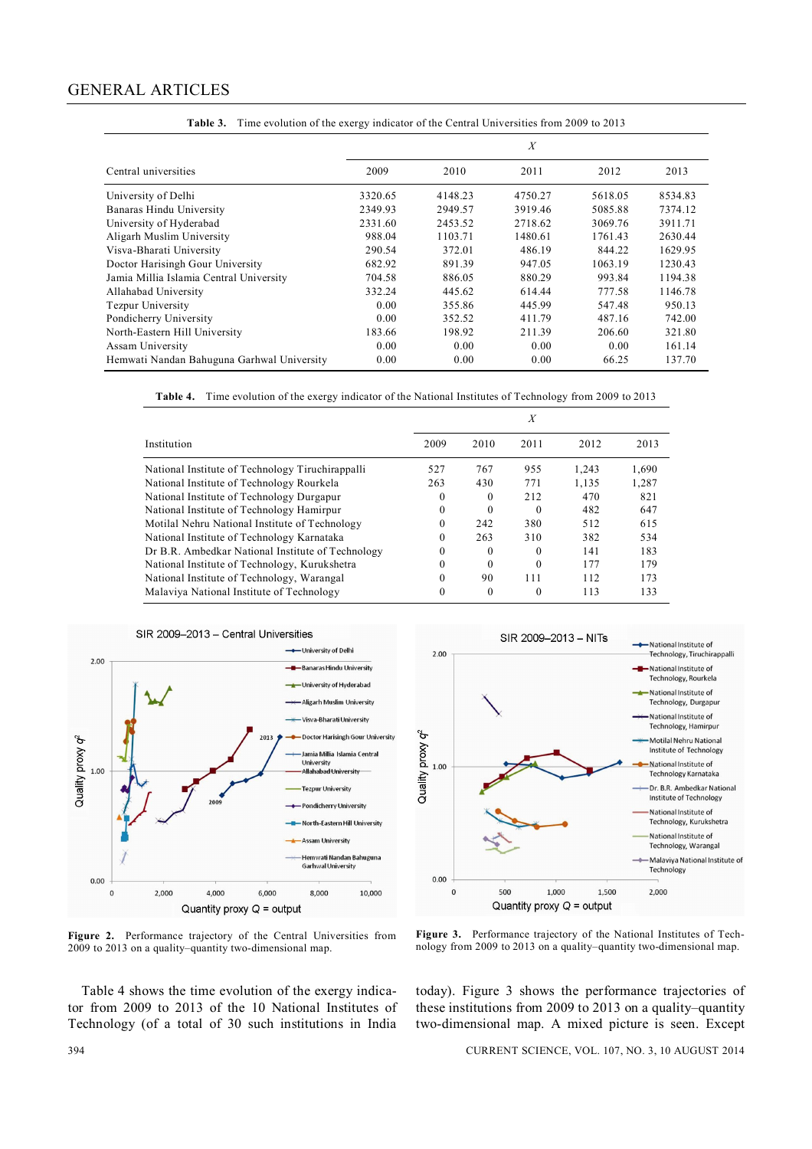|                                            |         |         | $\boldsymbol{X}$ |         |         |
|--------------------------------------------|---------|---------|------------------|---------|---------|
| Central universities                       | 2009    | 2010    | 2011             | 2012    | 2013    |
| University of Delhi                        | 3320.65 | 4148.23 | 4750.27          | 5618.05 | 8534.83 |
| Banaras Hindu University                   | 2349.93 | 2949.57 | 3919.46          | 5085.88 | 7374.12 |
| University of Hyderabad                    | 2331.60 | 2453.52 | 2718.62          | 3069.76 | 3911.71 |
| Aligarh Muslim University                  | 988.04  | 1103.71 | 1480.61          | 1761.43 | 2630.44 |
| Visva-Bharati University                   | 290.54  | 372.01  | 486.19           | 844.22  | 1629.95 |
| Doctor Harisingh Gour University           | 682.92  | 891.39  | 947.05           | 1063.19 | 1230.43 |
| Jamia Millia Islamia Central University    | 704.58  | 886.05  | 880.29           | 993.84  | 1194.38 |
| Allahabad University                       | 332.24  | 445.62  | 614.44           | 777.58  | 1146.78 |
| Tezpur University                          | 0.00    | 355.86  | 445.99           | 547.48  | 950.13  |
| Pondicherry University                     | 0.00    | 352.52  | 411.79           | 487.16  | 742.00  |
| North-Eastern Hill University              | 183.66  | 198.92  | 211.39           | 206.60  | 321.80  |
| Assam University                           | 0.00    | 0.00    | 0.00             | 0.00    | 161.14  |
| Hemwati Nandan Bahuguna Garhwal University | 0.00    | 0.00    | 0.00             | 66.25   | 137.70  |

**Table 3.** Time evolution of the exergy indicator of the Central Universities from 2009 to 2013

**Table 4.** Time evolution of the exergy indicator of the National Institutes of Technology from 2009 to 2013

|                                                   |          |          | X        |       |       |
|---------------------------------------------------|----------|----------|----------|-------|-------|
| Institution                                       | 2009     | 2010     | 2011     | 2012  | 2013  |
| National Institute of Technology Tiruchirappalli  | 527      | 767      | 955      | 1.243 | 1,690 |
| National Institute of Technology Rourkela         | 263      | 430      | 771      | 1,135 | 1,287 |
| National Institute of Technology Durgapur         | $\theta$ | 0        | 212      | 470   | 821   |
| National Institute of Technology Hamirpur         | $\theta$ | 0        | $\Omega$ | 482   | 647   |
| Motilal Nehru National Institute of Technology    | $\theta$ | 242      | 380      | 512   | 615   |
| National Institute of Technology Karnataka        | $\theta$ | 263      | 310      | 382   | 534   |
| Dr B.R. Ambedkar National Institute of Technology | $\Omega$ | 0        | $\Omega$ | 141   | 183   |
| National Institute of Technology, Kurukshetra     | $\theta$ | 0        | $\Omega$ | 177   | 179   |
| National Institute of Technology, Warangal        | $\theta$ | 90       | 111      | 112   | 173   |
| Malaviya National Institute of Technology         | $\theta$ | $\theta$ | 0        | 113   | 133   |



**Figure 2.** Performance trajectory of the Central Universities from 2009 to 2013 on a quality–quantity two-dimensional map.

Table 4 shows the time evolution of the exergy indicator from 2009 to 2013 of the 10 National Institutes of Technology (of a total of 30 such institutions in India



**Figure 3.** Performance trajectory of the National Institutes of Technology from 2009 to 2013 on a quality–quantity two-dimensional map.

today). Figure 3 shows the performance trajectories of these institutions from 2009 to 2013 on a quality–quantity two-dimensional map. A mixed picture is seen. Except

394 CURRENT SCIENCE, VOL. 107, NO. 3, 10 AUGUST 2014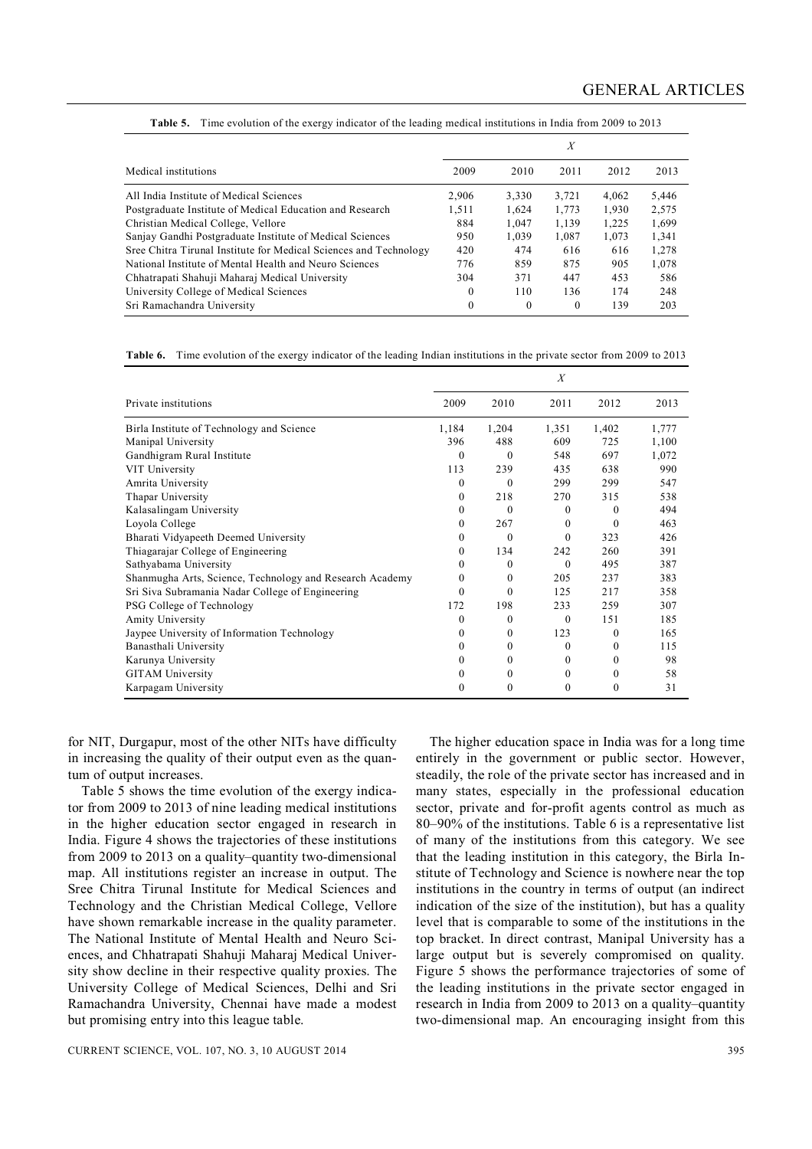|                                                                   |              |       | X        |       |       |
|-------------------------------------------------------------------|--------------|-------|----------|-------|-------|
| Medical institutions                                              | 2009         | 2010  | 2011     | 2012  | 2013  |
| All India Institute of Medical Sciences                           | 2.906        | 3,330 | 3,721    | 4,062 | 5,446 |
| Postgraduate Institute of Medical Education and Research          | 1.511        | 1.624 | 1.773    | 1,930 | 2,575 |
| Christian Medical College, Vellore                                | 884          | 1,047 | 1.139    | 1.225 | 1,699 |
| Sanjay Gandhi Postgraduate Institute of Medical Sciences          | 950          | 1.039 | 1.087    | 1,073 | 1,341 |
| Sree Chitra Tirunal Institute for Medical Sciences and Technology | 420          | 474   | 616      | 616   | 1,278 |
| National Institute of Mental Health and Neuro Sciences            | 776          | 859   | 875      | 905   | 1,078 |
| Chhatrapati Shahuji Maharaj Medical University                    | 304          | 371   | 447      | 453   | 586   |
| University College of Medical Sciences                            | $\mathbf{0}$ | 110   | 136      | 174   | 248   |
| Sri Ramachandra University                                        | $\mathbf{0}$ | 0     | $\theta$ | 139   | 203   |

**Table 5.** Time evolution of the exergy indicator of the leading medical institutions in India from 2009 to 2013

**Table 6.** Time evolution of the exergy indicator of the leading Indian institutions in the private sector from 2009 to 2013

|                                                          |              |              | X        |          |       |
|----------------------------------------------------------|--------------|--------------|----------|----------|-------|
| Private institutions                                     | 2009         | 2010         | 2011     | 2012     | 2013  |
| Birla Institute of Technology and Science                | 1,184        | 1,204        | 1,351    | 1,402    | 1,777 |
| Manipal University                                       | 396          | 488          | 609      | 725      | 1,100 |
| Gandhigram Rural Institute                               | $\theta$     | $\theta$     | 548      | 697      | 1,072 |
| VIT University                                           | 113          | 239          | 435      | 638      | 990   |
| Amrita University                                        | $\Omega$     | $\theta$     | 299      | 299      | 547   |
| Thapar University                                        | $\Omega$     | 218          | 270      | 315      | 538   |
| Kalasalingam University                                  | $\Omega$     | $\theta$     | $\Omega$ | $\theta$ | 494   |
| Loyola College                                           | $\Omega$     | 267          | $\Omega$ | $\theta$ | 463   |
| Bharati Vidyapeeth Deemed University                     | $\mathbf{0}$ | $\theta$     | $\Omega$ | 323      | 426   |
| Thiagarajar College of Engineering                       | $\Omega$     | 134          | 242      | 260      | 391   |
| Sathyabama University                                    | $\Omega$     | $\Omega$     | $\theta$ | 495      | 387   |
| Shanmugha Arts, Science, Technology and Research Academy | 0            | $\theta$     | 205      | 237      | 383   |
| Sri Siva Subramania Nadar College of Engineering         | $\Omega$     | $\theta$     | 125      | 217      | 358   |
| PSG College of Technology                                | 172          | 198          | 233      | 259      | 307   |
| Amity University                                         | 0            | $\theta$     | $\theta$ | 1.51     | 185   |
| Jaypee University of Information Technology              | $\mathbf{0}$ | 0            | 123      | $\Omega$ | 165   |
| Banasthali University                                    | 0            | $\theta$     | $\Omega$ | $\Omega$ | 115   |
| Karunya University                                       | $\Omega$     | $\mathbf{0}$ | $\Omega$ | $^{0}$   | 98    |
| <b>GITAM</b> University                                  | $\Omega$     | 0            | $\Omega$ | $\theta$ | 58    |
| Karpagam University                                      | 0            | $\theta$     | $\Omega$ | $\theta$ | 31    |

for NIT, Durgapur, most of the other NITs have difficulty in increasing the quality of their output even as the quantum of output increases.

Table 5 shows the time evolution of the exergy indicator from 2009 to 2013 of nine leading medical institutions in the higher education sector engaged in research in India. Figure 4 shows the trajectories of these institutions from 2009 to 2013 on a quality–quantity two-dimensional map. All institutions register an increase in output. The Sree Chitra Tirunal Institute for Medical Sciences and Technology and the Christian Medical College, Vellore have shown remarkable increase in the quality parameter. The National Institute of Mental Health and Neuro Sciences, and Chhatrapati Shahuji Maharaj Medical University show decline in their respective quality proxies. The University College of Medical Sciences, Delhi and Sri Ramachandra University, Chennai have made a modest but promising entry into this league table.

The higher education space in India was for a long time entirely in the government or public sector. However, steadily, the role of the private sector has increased and in many states, especially in the professional education sector, private and for-profit agents control as much as 80–90% of the institutions. Table 6 is a representative list of many of the institutions from this category. We see that the leading institution in this category, the Birla Institute of Technology and Science is nowhere near the top institutions in the country in terms of output (an indirect indication of the size of the institution), but has a quality level that is comparable to some of the institutions in the top bracket. In direct contrast, Manipal University has a large output but is severely compromised on quality. Figure 5 shows the performance trajectories of some of the leading institutions in the private sector engaged in research in India from 2009 to 2013 on a quality–quantity two-dimensional map. An encouraging insight from this